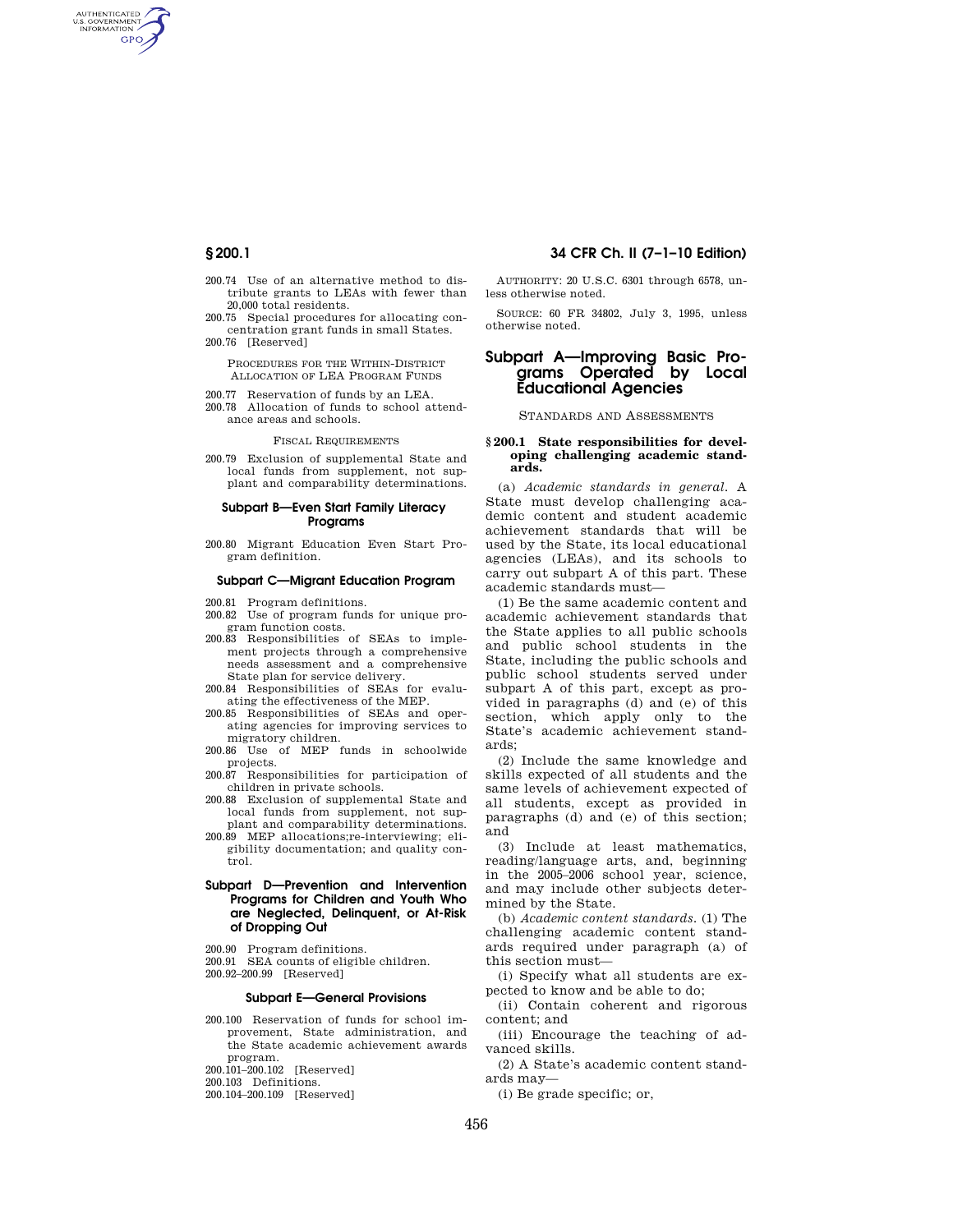AUTHENTICATED<br>U.S. GOVERNMENT<br>INFORMATION **GPO** 

- 200.74 Use of an alternative method to distribute grants to LEAs with fewer than 20,000 total residents.
- 200.75 Special procedures for allocating concentration grant funds in small States.
- 200.76 [Reserved]

PROCEDURES FOR THE WITHIN-DISTRICT ALLOCATION OF LEA PROGRAM FUNDS

- 200.77 Reservation of funds by an LEA.
- 200.78 Allocation of funds to school attendance areas and schools.

#### FISCAL REQUIREMENTS

200.79 Exclusion of supplemental State and local funds from supplement, not supplant and comparability determinations.

#### **Subpart B—Even Start Family Literacy Programs**

200.80 Migrant Education Even Start Program definition.

## **Subpart C—Migrant Education Program**

- 200.81 Program definitions.
- 200.82 Use of program funds for unique program function costs.
- 200.83 Responsibilities of SEAs to implement projects through a comprehensive needs assessment and a comprehensive State plan for service delivery.
- 200.84 Responsibilities of SEAs for evaluating the effectiveness of the MEP.
- 200.85 Responsibilities of SEAs and operating agencies for improving services to migratory children.
- 200.86 Use of MEP funds in schoolwide projects.
- 200.87 Responsibilities for participation of children in private schools.
- 200.88 Exclusion of supplemental State and local funds from supplement, not supplant and comparability determinations.
- 200.89 MEP allocations;re-interviewing; eligibility documentation; and quality control.

## **Subpart D—Prevention and Intervention Programs for Children and Youth Who are Neglected, Delinquent, or At-Risk of Dropping Out**

- 200.90 Program definitions.
- 200.91 SEA counts of eligible children.
- 200.92–200.99 [Reserved]

## **Subpart E—General Provisions**

- 200.100 Reservation of funds for school improvement, State administration, and the State academic achievement awards program.
- 200.101–200.102 [Reserved]
- 200.103 Definitions.
- 200.104–200.109 [Reserved]

## **§ 200.1 34 CFR Ch. II (7–1–10 Edition)**

AUTHORITY: 20 U.S.C. 6301 through 6578, unless otherwise noted.

SOURCE: 60 FR 34802, July 3, 1995, unless otherwise noted.

# **Subpart A—Improving Basic Programs Operated by Local Educational Agencies**

STANDARDS AND ASSESSMENTS

## **§ 200.1 State responsibilities for developing challenging academic standards.**

(a) *Academic standards in general.* A State must develop challenging academic content and student academic achievement standards that will be used by the State, its local educational agencies (LEAs), and its schools to carry out subpart A of this part. These academic standards must—

(1) Be the same academic content and academic achievement standards that the State applies to all public schools and public school students in the State, including the public schools and public school students served under subpart A of this part, except as provided in paragraphs (d) and (e) of this section, which apply only to the State's academic achievement standards;

(2) Include the same knowledge and skills expected of all students and the same levels of achievement expected of all students, except as provided in paragraphs (d) and (e) of this section; and

(3) Include at least mathematics, reading/language arts, and, beginning in the 2005–2006 school year, science, and may include other subjects determined by the State.

(b) *Academic content standards.* (1) The challenging academic content standards required under paragraph (a) of this section must—

(i) Specify what all students are expected to know and be able to do;

(ii) Contain coherent and rigorous content; and

(iii) Encourage the teaching of advanced skills.

(2) A State's academic content standards may—

(i) Be grade specific; or,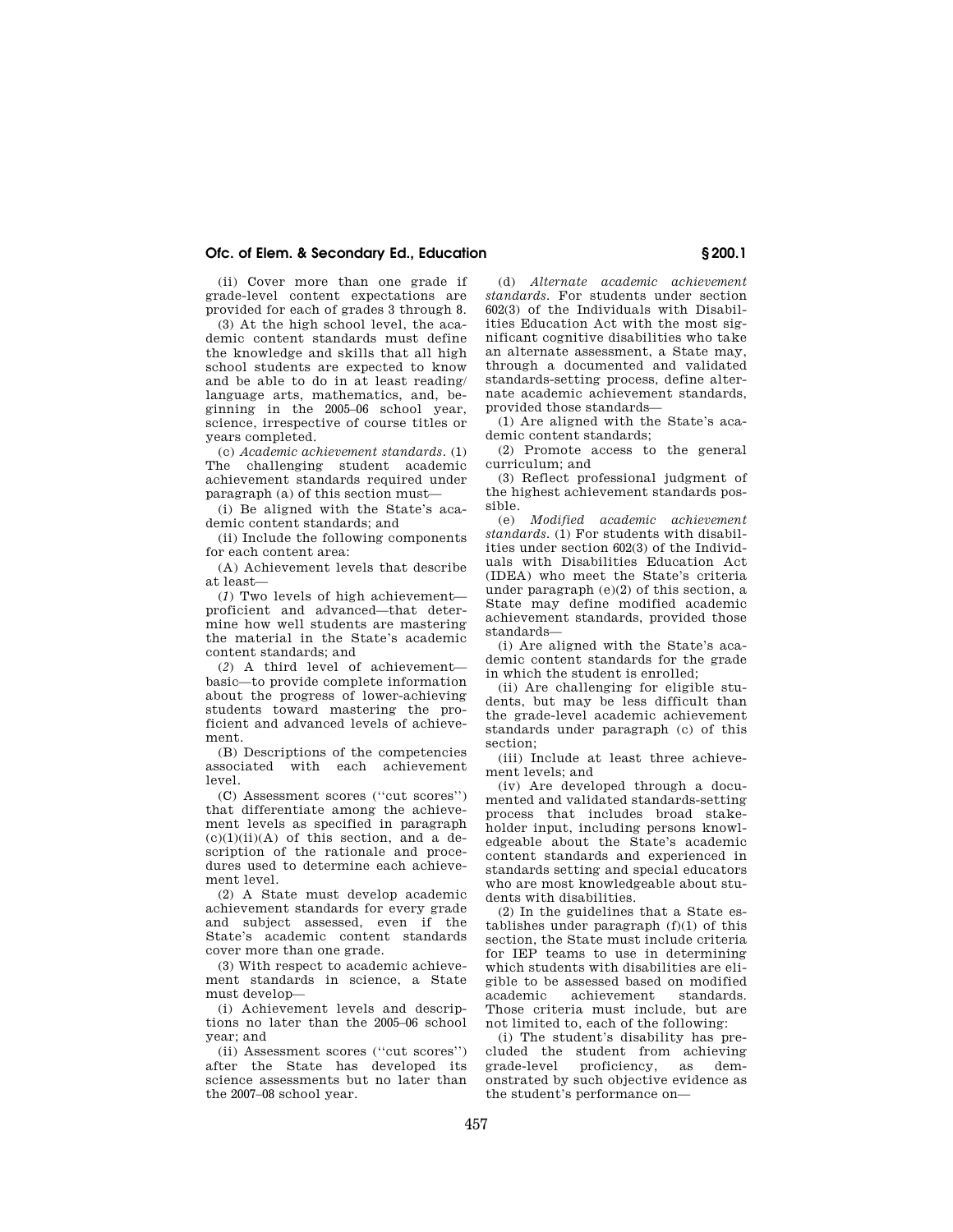## **Ofc. of Elem. & Secondary Ed., Education § 200.1**

(ii) Cover more than one grade if grade-level content expectations are provided for each of grades 3 through 8.

(3) At the high school level, the academic content standards must define the knowledge and skills that all high school students are expected to know and be able to do in at least reading/ language arts, mathematics, and, beginning in the 2005–06 school year, science, irrespective of course titles or years completed.

(c) *Academic achievement standards.* (1) The challenging student academic achievement standards required under paragraph (a) of this section must—

(i) Be aligned with the State's academic content standards; and

(ii) Include the following components for each content area:

(A) Achievement levels that describe at least—

(*1*) Two levels of high achievement proficient and advanced—that determine how well students are mastering the material in the State's academic content standards; and

(*2*) A third level of achievement basic—to provide complete information about the progress of lower-achieving students toward mastering the proficient and advanced levels of achievement.

(B) Descriptions of the competencies associated with each achievement level.

(C) Assessment scores (''cut scores'') that differentiate among the achievement levels as specified in paragraph  $(c)(1)(ii)(A)$  of this section, and a description of the rationale and procedures used to determine each achievement level.

(2) A State must develop academic achievement standards for every grade and subject assessed, even if the State's academic content standards cover more than one grade.

(3) With respect to academic achievement standards in science, a State must develop—

(i) Achievement levels and descriptions no later than the 2005–06 school year; and

(ii) Assessment scores (''cut scores'') after the State has developed its science assessments but no later than the 2007–08 school year.

(d) *Alternate academic achievement standards.* For students under section 602(3) of the Individuals with Disabilities Education Act with the most significant cognitive disabilities who take an alternate assessment, a State may, through a documented and validated standards-setting process, define alternate academic achievement standards, provided those standards—

(1) Are aligned with the State's academic content standards;

(2) Promote access to the general curriculum; and

(3) Reflect professional judgment of the highest achievement standards possible.

(e) *Modified academic achievement standards.* (1) For students with disabilities under section 602(3) of the Individuals with Disabilities Education Act (IDEA) who meet the State's criteria under paragraph (e)(2) of this section, a State may define modified academic achievement standards, provided those standards—

(i) Are aligned with the State's academic content standards for the grade in which the student is enrolled;

(ii) Are challenging for eligible students, but may be less difficult than the grade-level academic achievement standards under paragraph (c) of this section;

(iii) Include at least three achievement levels; and

(iv) Are developed through a documented and validated standards-setting process that includes broad stakeholder input, including persons knowledgeable about the State's academic content standards and experienced in standards setting and special educators who are most knowledgeable about students with disabilities.

(2) In the guidelines that a State establishes under paragraph  $(f)(1)$  of this section, the State must include criteria for IEP teams to use in determining which students with disabilities are eligible to be assessed based on modified academic achievement standards. Those criteria must include, but are not limited to, each of the following:

(i) The student's disability has precluded the student from achieving grade-level proficiency, as demonstrated by such objective evidence as the student's performance on—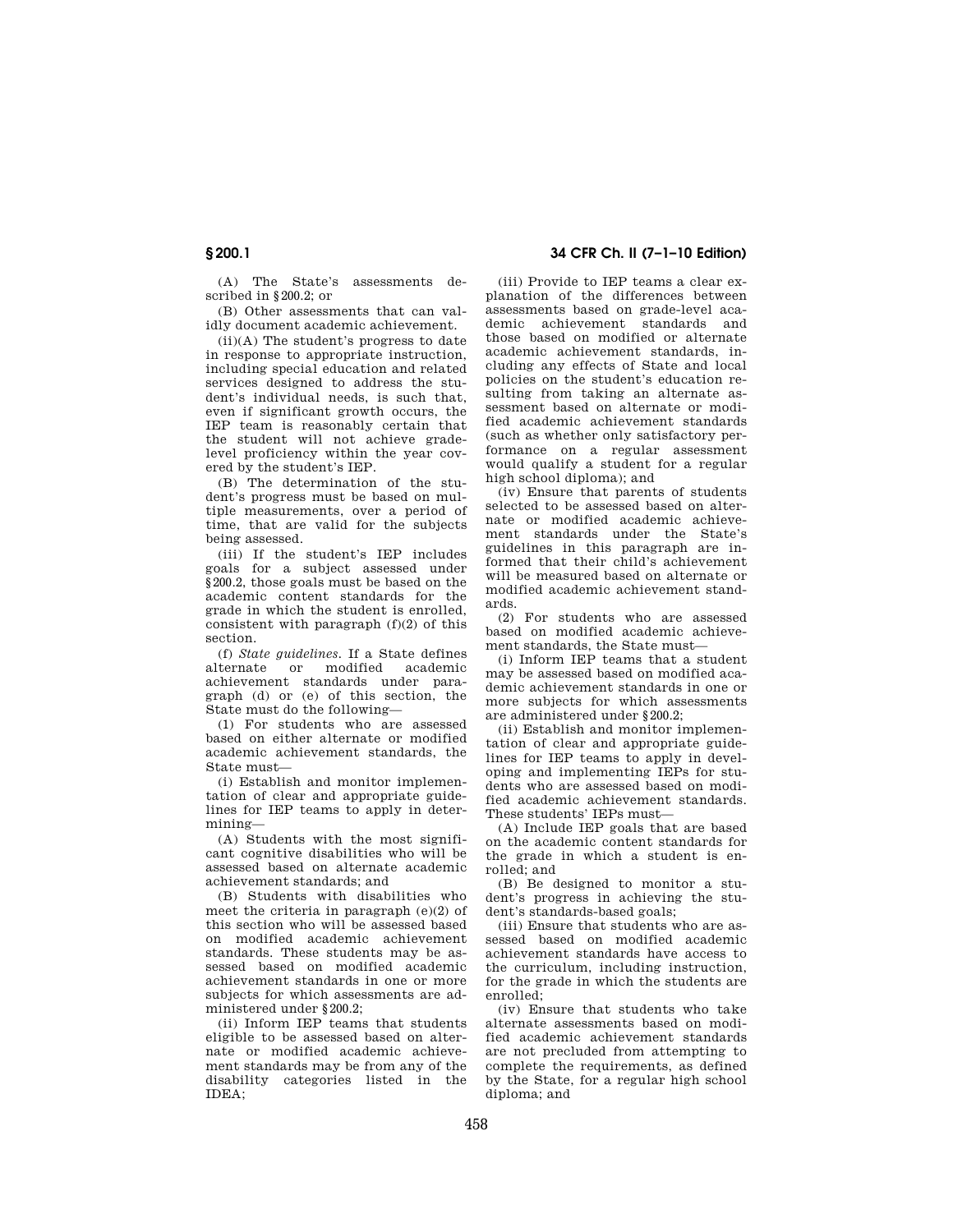(A) The State's assessments described in §200.2; or

(B) Other assessments that can validly document academic achievement.

(ii)(A) The student's progress to date in response to appropriate instruction, including special education and related services designed to address the student's individual needs, is such that, even if significant growth occurs, the IEP team is reasonably certain that the student will not achieve gradelevel proficiency within the year covered by the student's IEP.

(B) The determination of the student's progress must be based on multiple measurements, over a period of time, that are valid for the subjects being assessed.

(iii) If the student's IEP includes goals for a subject assessed under §200.2, those goals must be based on the academic content standards for the grade in which the student is enrolled, consistent with paragraph  $(f)(2)$  of this section.

(f) *State guidelines.* If a State defines alternate or modified academic achievement standards under paragraph (d) or (e) of this section, the State must do the following—

(1) For students who are assessed based on either alternate or modified academic achievement standards, the State must—

(i) Establish and monitor implementation of clear and appropriate guidelines for IEP teams to apply in determining—

(A) Students with the most significant cognitive disabilities who will be assessed based on alternate academic achievement standards; and

(B) Students with disabilities who meet the criteria in paragraph (e)(2) of this section who will be assessed based on modified academic achievement standards. These students may be assessed based on modified academic achievement standards in one or more subjects for which assessments are administered under \$200.2;

(ii) Inform IEP teams that students eligible to be assessed based on alternate or modified academic achievement standards may be from any of the disability categories listed in the IDEA;

(iii) Provide to IEP teams a clear explanation of the differences between assessments based on grade-level academic achievement standards and those based on modified or alternate academic achievement standards, including any effects of State and local policies on the student's education resulting from taking an alternate assessment based on alternate or modified academic achievement standards (such as whether only satisfactory performance on a regular assessment would qualify a student for a regular high school diploma); and

(iv) Ensure that parents of students selected to be assessed based on alternate or modified academic achievement standards under the State's guidelines in this paragraph are informed that their child's achievement will be measured based on alternate or modified academic achievement standards.

(2) For students who are assessed based on modified academic achievement standards, the State must—

(i) Inform IEP teams that a student may be assessed based on modified academic achievement standards in one or more subjects for which assessments are administered under §200.2;

(ii) Establish and monitor implementation of clear and appropriate guidelines for IEP teams to apply in developing and implementing IEPs for students who are assessed based on modified academic achievement standards. These students' IEPs must—

(A) Include IEP goals that are based on the academic content standards for the grade in which a student is enrolled; and

(B) Be designed to monitor a student's progress in achieving the student's standards-based goals;

(iii) Ensure that students who are assessed based on modified academic achievement standards have access to the curriculum, including instruction, for the grade in which the students are enrolled;

(iv) Ensure that students who take alternate assessments based on modified academic achievement standards are not precluded from attempting to complete the requirements, as defined by the State, for a regular high school diploma; and